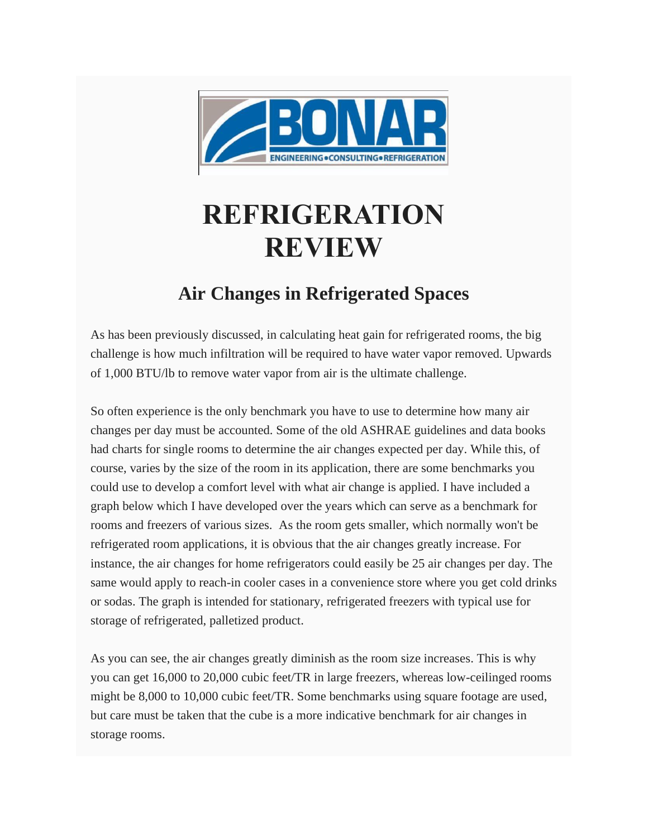

## **REFRIGERATION REVIEW**

## **Air Changes in Refrigerated Spaces**

As has been previously discussed, in calculating heat gain for refrigerated rooms, the big challenge is how much infiltration will be required to have water vapor removed. Upwards of 1,000 BTU/lb to remove water vapor from air is the ultimate challenge.

So often experience is the only benchmark you have to use to determine how many air changes per day must be accounted. Some of the old ASHRAE guidelines and data books had charts for single rooms to determine the air changes expected per day. While this, of course, varies by the size of the room in its application, there are some benchmarks you could use to develop a comfort level with what air change is applied. I have included a graph below which I have developed over the years which can serve as a benchmark for rooms and freezers of various sizes. As the room gets smaller, which normally won't be refrigerated room applications, it is obvious that the air changes greatly increase. For instance, the air changes for home refrigerators could easily be 25 air changes per day. The same would apply to reach-in cooler cases in a convenience store where you get cold drinks or sodas. The graph is intended for stationary, refrigerated freezers with typical use for storage of refrigerated, palletized product.

As you can see, the air changes greatly diminish as the room size increases. This is why you can get 16,000 to 20,000 cubic feet/TR in large freezers, whereas low-ceilinged rooms might be 8,000 to 10,000 cubic feet/TR. Some benchmarks using square footage are used, but care must be taken that the cube is a more indicative benchmark for air changes in storage rooms.